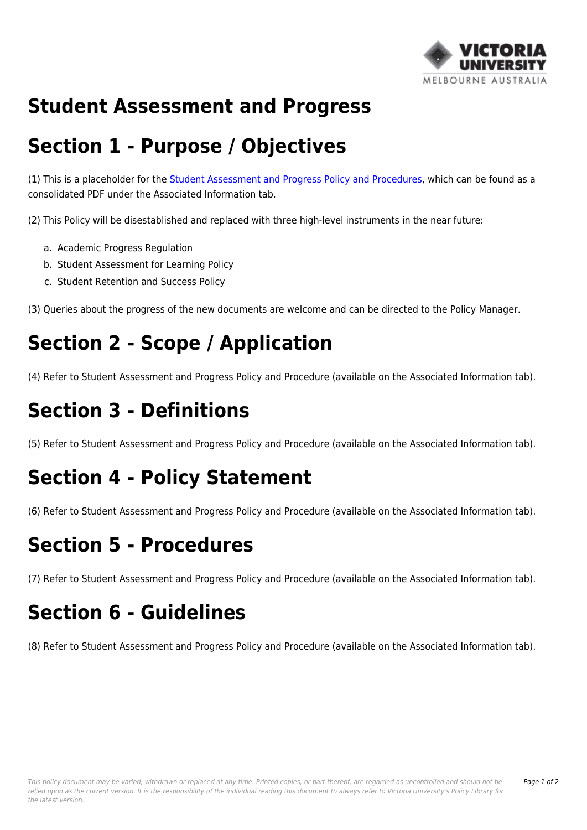

#### **Student Assessment and Progress**

## **Section 1 - Purpose / Objectives**

(1) This is a placeholder for the [Student Assessment and Progress Policy and Procedures](http://policy.vu.edu.au/download.php?id=1&version=3&associated), which can be found as a consolidated PDF under the Associated Information tab.

(2) This Policy will be disestablished and replaced with three high-level instruments in the near future:

- a. Academic Progress Regulation
- b. Student Assessment for Learning Policy
- c. Student Retention and Success Policy

(3) Queries about the progress of the new documents are welcome and can be directed to the Policy Manager.

# **Section 2 - Scope / Application**

(4) Refer to Student Assessment and Progress Policy and Procedure (available on the Associated Information tab).

# **Section 3 - Definitions**

(5) Refer to Student Assessment and Progress Policy and Procedure (available on the Associated Information tab).

## **Section 4 - Policy Statement**

(6) Refer to Student Assessment and Progress Policy and Procedure (available on the Associated Information tab).

#### **Section 5 - Procedures**

(7) Refer to Student Assessment and Progress Policy and Procedure (available on the Associated Information tab).

## **Section 6 - Guidelines**

(8) Refer to Student Assessment and Progress Policy and Procedure (available on the Associated Information tab).